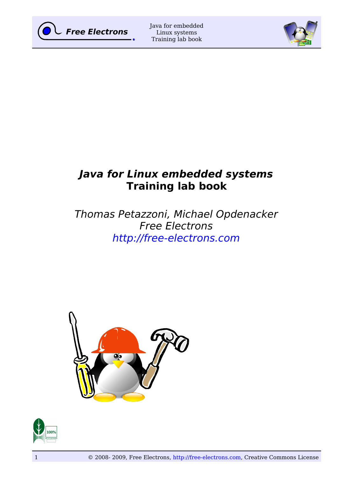



# **Java for Linux embedded systems Training lab book**

# Thomas Petazzoni, Michael Opdenacker Free Electrons [http://free-electrons.com](http://free-electrons.com/)



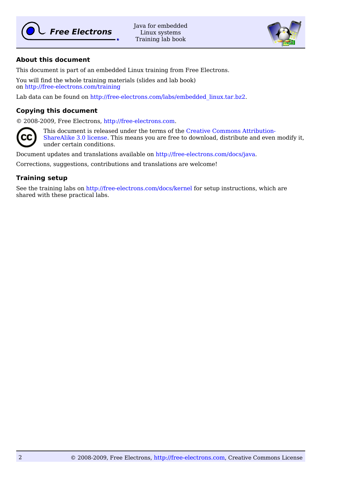

Java for embedded Linux systems Training lab book



## **About this document**

This document is part of an embedded Linux training from Free Electrons.

You will find the whole training materials (slides and lab book) on<http://free-electrons.com/training>

Lab data can be found on [http://free-electrons.com/labs/embedded\\_linux.tar.bz2.](http://free-electrons.com/labs/embedded_linux.tar.bz2)

## **Copying this document**

© 2008-2009, Free Electrons, [http://free-electrons.com.](http://free-electrons.com/)



This document is released under the terms of the [Creative Commons Attribution-](http://creativecommons.org/licenses/by-sa/3.0/)[ShareAlike 3.0 license.](http://creativecommons.org/licenses/by-sa/3.0/) This means you are free to download, distribute and even modify it, under certain conditions.

Document updates and translations available on [http://free-electrons.com/docs/java.](http://free-electrons.com/docs/java)

Corrections, suggestions, contributions and translations are welcome!

## **Training setup**

See the training labs on<http://free-electrons.com/docs/kernel>for setup instructions, which are shared with these practical labs.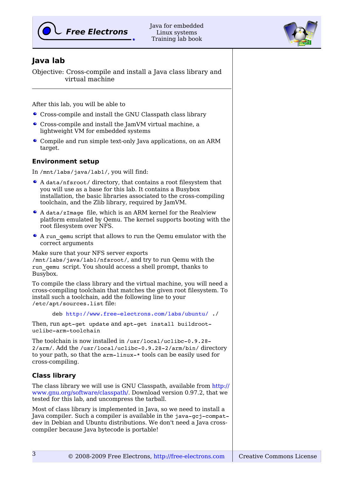



## **Java lab**

Objective: Cross-compile and install a Java class library and virtual machine

After this lab, you will be able to

- Cross-compile and install the GNU Classpath class library
- Cross-compile and install the JamVM virtual machine, a lightweight VM for embedded systems
- Compile and run simple text-only Java applications, on an ARM target.

## **Environment setup**

In /mnt/labs/java/lab1/, you will find:

- A data/nfsroot/ directory, that contains a root filesystem that you will use as a base for this lab. It contains a Busybox installation, the basic libraries associated to the cross-compiling toolchain, and the Zlib library, required by JamVM.
- A data/zImage file, which is an ARM kernel for the Realview platform emulated by Qemu. The kernel supports booting with the root filesystem over NFS.
- A run\_qemu script that allows to run the Qemu emulator with the correct arguments

Make sure that your NFS server exports /mnt/labs/java/lab1/nfsroot/, and try to run Qemu with the run\_qemu script. You should access a shell prompt, thanks to Busybox.

To compile the class library and the virtual machine, you will need a cross-compiling toolchain that matches the given root filesystem. To install such a toolchain, add the following line to your /etc/apt/sources.list file:

deb http://www.free-electrons.com/labs/ubuntu/./

Then, run apt-get update and apt-get install buildrootuclibc-arm-toolchain

The toolchain is now installed in /usr/local/uclibc-0.9.28-2/arm/. Add the /usr/local/uclibc-0.9.28-2/arm/bin/ directory to your path, so that the  $arm-linux-*$  tools can be easily used for cross-compiling.

## **Class library**

3

The class library we will use is GNU Classpath, available from [http://](http://www.gnu.org/software/classpath/) [www.gnu.org/software/classpath/.](http://www.gnu.org/software/classpath/) Download version 0.97.2, that we tested for this lab, and uncompress the tarball.

Most of class library is implemented in Java, so we need to install a Java compiler. Such a compiler is available in the java-gcj-compatdev in Debian and Ubuntu distributions. We don't need a Java crosscompiler because Java bytecode is portable!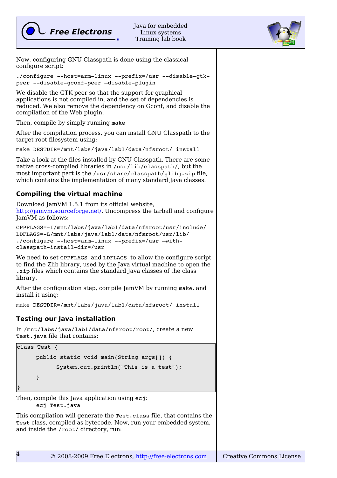



Now, configuring GNU Classpath is done using the classical configure script:

```
./configure --host=arm-linux --prefix=/usr --disable-gtk-
peer --disable-qconf-peer -disable-plugin
```
We disable the GTK peer so that the support for graphical applications is not compiled in, and the set of dependencies is reduced. We also remove the dependency on Gconf, and disable the compilation of the Web plugin.

Then, compile by simply running make

After the compilation process, you can install GNU Classpath to the target root filesystem using:

make DESTDIR=/mnt/labs/java/lab1/data/nfsroot/ install

```
Take a look at the files installed by GNU Classpath. There are some
native cross-compiled libraries in /usr/lib/classpath/, but the
most important part is the /usr/share/classpath/glibj.zip file,
which contains the implementation of many standard Java classes.
```
## **Compiling the virtual machine**

Download JamVM 1.5.1 from its official website, [http://jamvm.sourceforge.net/.](http://jamvm.sourceforge.net/) Uncompress the tarball and configure JamVM as follows:

```
CPPFLAGS=I/mnt/labs/java/lab1/data/nfsroot/usr/include/
LDFLAGS=L/mnt/labs/java/lab1/data/nfsroot/usr/lib/
./configure --host=arm-linux --prefix=/usr -with-
classpath-install-dir=/usr
```
We need to set CPPFLAGS and LDFLAGS to allow the configure script to find the Zlib library, used by the Java virtual machine to open the .zip files which contains the standard Java classes of the class library.

After the configuration step, compile JamVM by running make, and install it using:

make DESTDIR=/mnt/labs/java/lab1/data/nfsroot/ install

## **Testing our Java installation**

In /mnt/labs/java/lab1/data/nfsroot/root/, create a new Test.java file that contains:

```
class Test {
     public static void main(String args[]) {
            System.out.println("This is a test");
     }
}
```
Then, compile this Java application using ecj:

ecj Test.java

This compilation will generate the Test.class file, that contains the Test class, compiled as bytecode. Now, run your embedded system, and inside the /root/ directory, run: